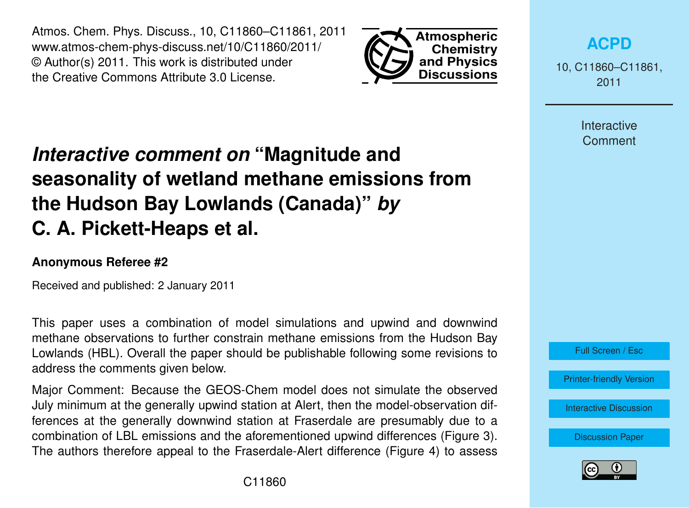Atmos. Chem. Phys. Discuss., 10, C11860–C11861, 2011 www.atmos-chem-phys-discuss.net/10/C11860/2011/ © Author(s) 2011. This work is distributed under the Creative Commons Attribute 3.0 License.



**[ACPD](http://www.atmos-chem-phys-discuss.net)**

10, C11860–C11861, 2011

> Interactive **Comment**

## *Interactive comment on* **"Magnitude and seasonality of wetland methane emissions from the Hudson Bay Lowlands (Canada)"** *by* **C. A. Pickett-Heaps et al.**

## **Anonymous Referee #2**

Received and published: 2 January 2011

This paper uses a combination of model simulations and upwind and downwind methane observations to further constrain methane emissions from the Hudson Bay Lowlands (HBL). Overall the paper should be publishable following some revisions to address the comments given below.

Major Comment: Because the GEOS-Chem model does not simulate the observed July minimum at the generally upwind station at Alert, then the model-observation differences at the generally downwind station at Fraserdale are presumably due to a combination of LBL emissions and the aforementioned upwind differences (Figure 3). The authors therefore appeal to the Fraserdale-Alert difference (Figure 4) to assess